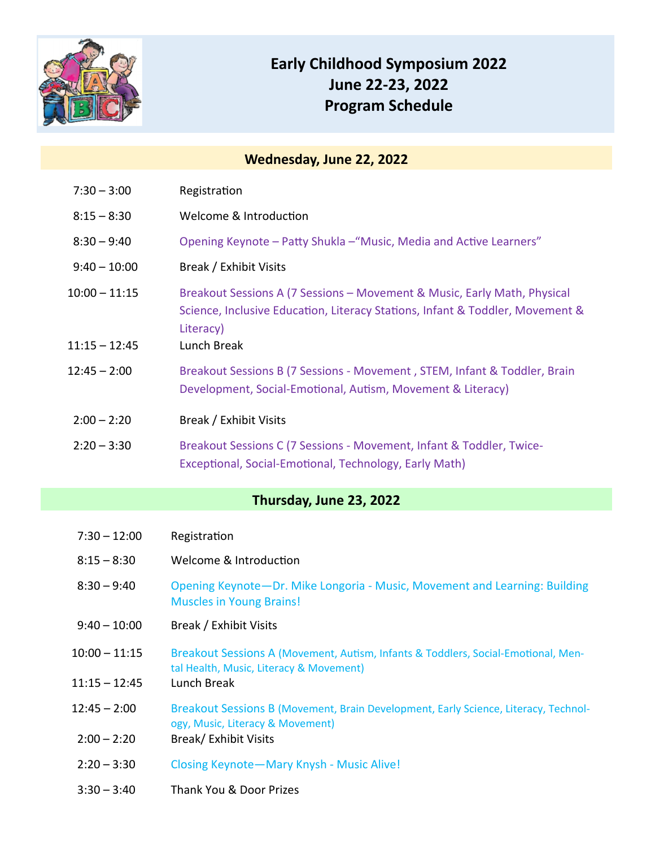

# **Early Childhood Symposium 2022 June 22‐23, 2022 Program Schedule**

#### **Wednesday, June 22, 2022**

| $7:30 - 3:00$ | Registration |
|---------------|--------------|
|               |              |

| $8:15 - 8:30$ | Welcome & Introduction |
|---------------|------------------------|
|               |                        |

- 8:30 9:40 Opening Keynote Patty Shukla "Music, Media and Active Learners"
- 9:40 10:00 Break / Exhibit Visits
- 10:00 11:15 Breakout Sessions A (7 Sessions Movement & Music, Early Math, Physical Science, Inclusive Education, Literacy Stations, Infant & Toddler, Movement & Literacy)
- 11:15 12:45 Lunch Break
- 12:45 2:00 Breakout Sessions B (7 Sessions ‐ Movement , STEM, Infant & Toddler, Brain Development, Social-Emotional, Autism, Movement & Literacy)
- 2:00 2:20 Break / Exhibit Visits
- 2:20 3:30 Breakout Sessions C (7 Sessions ‐ Movement, Infant & Toddler, Twice‐ Exceptional, Social-Emotional, Technology, Early Math)

## **Thursday, June 23, 2022**

| $7:30 - 12:00$ | Registration |
|----------------|--------------|
|----------------|--------------|

- 8:15 8:30 Welcome & Introduction
- 8:30 9:40 Opening Keynote—Dr. Mike Longoria ‐ Music, Movement and Learning: Building Muscles in Young Brains!
- 9:40 10:00 Break / Exhibit Visits
- 10:00 11:15 Breakout Sessions A (Movement, Autism, Infants & Toddlers, Social-Emotional, Mental Health, Music, Literacy & Movement)
- 11:15 12:45 Lunch Break
- 12:45 2:00 Breakout Sessions B (Movement, Brain Development, Early Science, Literacy, Technology, Music, Literacy & Movement)
- 2:00 2:20 Break/ Exhibit Visits
- 2:20 3:30 Closing Keynote—Mary Knysh ‐ Music Alive!
- 3:30 3:40 Thank You & Door Prizes